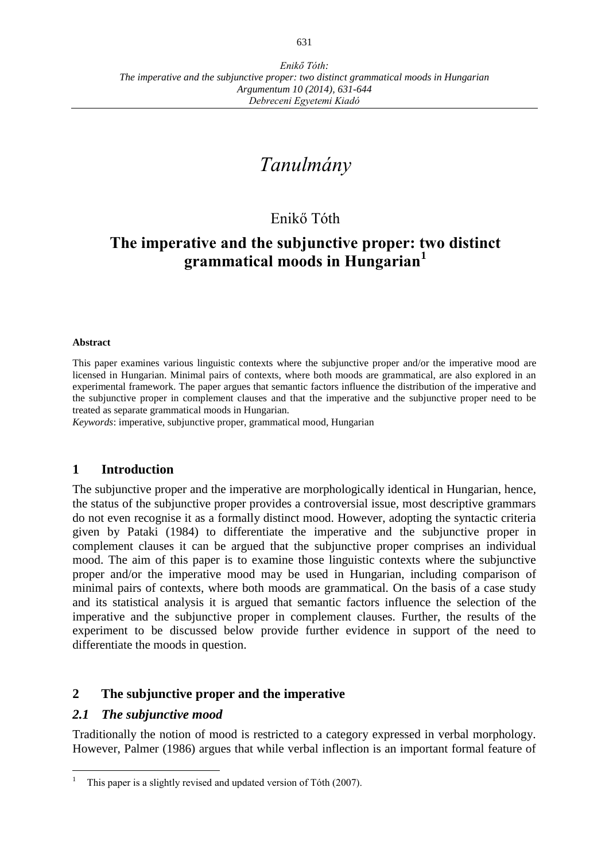# *Tanulmány*

# Enikő Tóth

# **The imperative and the subjunctive proper: two distinct grammatical moods in Hungarian<sup>1</sup>**

#### **Abstract**

This paper examines various linguistic contexts where the subjunctive proper and/or the imperative mood are licensed in Hungarian. Minimal pairs of contexts, where both moods are grammatical, are also explored in an experimental framework. The paper argues that semantic factors influence the distribution of the imperative and the subjunctive proper in complement clauses and that the imperative and the subjunctive proper need to be treated as separate grammatical moods in Hungarian.

*Keywords*: imperative, subjunctive proper, grammatical mood, Hungarian

#### **1 Introduction**

The subjunctive proper and the imperative are morphologically identical in Hungarian, hence, the status of the subjunctive proper provides a controversial issue, most descriptive grammars do not even recognise it as a formally distinct mood. However, adopting the syntactic criteria given by Pataki (1984) to differentiate the imperative and the subjunctive proper in complement clauses it can be argued that the subjunctive proper comprises an individual mood. The aim of this paper is to examine those linguistic contexts where the subjunctive proper and/or the imperative mood may be used in Hungarian, including comparison of minimal pairs of contexts, where both moods are grammatical. On the basis of a case study and its statistical analysis it is argued that semantic factors influence the selection of the imperative and the subjunctive proper in complement clauses. Further, the results of the experiment to be discussed below provide further evidence in support of the need to differentiate the moods in question.

# **2 The subjunctive proper and the imperative**

#### *2.1 The subjunctive mood*

 $\overline{a}$ 

Traditionally the notion of mood is restricted to a category expressed in verbal morphology. However, Palmer (1986) argues that while verbal inflection is an important formal feature of

This paper is a slightly revised and updated version of Tóth (2007).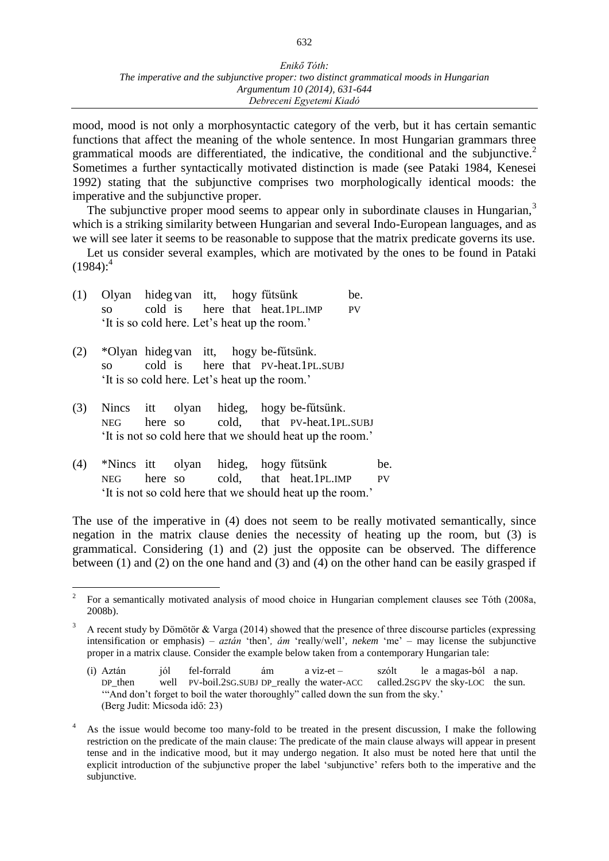#### *Enikő Tóth: The imperative and the subjunctive proper: two distinct grammatical moods in Hungarian Argumentum 10 (2014), 631-644 Debreceni Egyetemi Kiadó*

mood, mood is not only a morphosyntactic category of the verb, but it has certain semantic functions that affect the meaning of the whole sentence. In most Hungarian grammars three grammatical moods are differentiated, the indicative, the conditional and the subjunctive.<sup>2</sup> Sometimes a further syntactically motivated distinction is made (see Pataki 1984, Kenesei 1992) stating that the subjunctive comprises two morphologically identical moods: the imperative and the subjunctive proper.

The subjunctive proper mood seems to appear only in subordinate clauses in Hungarian, $3$ which is a striking similarity between Hungarian and several Indo-European languages, and as we will see later it seems to be reasonable to suppose that the matrix predicate governs its use.

Let us consider several examples, which are motivated by the ones to be found in Pataki  $(1984)$ :<sup>4</sup>

|  | (1) Olyan hidegvan itt, hogy fűtsünk          |  |                                   | be. |
|--|-----------------------------------------------|--|-----------------------------------|-----|
|  |                                               |  | so cold is here that heat.1PL.IMP | PV. |
|  | 'It is so cold here. Let's heat up the room.' |  |                                   |     |

- (2) \*Olyan hideg van itt, hogy be-fűtsünk. so cold is here that PV-heat.1PL.SUBJ 'It is so cold here. Let's heat up the room.'
- (3) Nincs itt olyan hideg, hogy be-fűtsünk. NEG here so cold, that PV-heat.1PL.SUBJ 'It is not so cold here that we should heat up the room.'
- (4) \*Nincs itt olyan hideg, hogy fűtsünk be. NEG here so cold, that heat.1PL.IMP PV 'It is not so cold here that we should heat up the room.'

The use of the imperative in (4) does not seem to be really motivated semantically, since negation in the matrix clause denies the necessity of heating up the room, but (3) is grammatical. Considering (1) and (2) just the opposite can be observed. The difference between (1) and (2) on the one hand and (3) and (4) on the other hand can be easily grasped if

 $\frac{1}{2}$ For a semantically motivated analysis of mood choice in Hungarian complement clauses see Tóth (2008a, 2008b).

 $3$  A recent study by Dömötör & Varga (2014) showed that the presence of three discourse particles (expressing intensification or emphasis) – *aztán* 'then'*, ám* 'really/well'*, nekem* 'me' – may license the subjunctive proper in a matrix clause. Consider the example below taken from a contemporary Hungarian tale:

<sup>(</sup>i) Aztán jól fel-forrald ám a viz-et – szólt le a magas-ból a nap. DP\_then well PV-boil.2SG.SUBJ DP\_really the water-ACC called.2SGPV the sky-LOC the sun. '"And don't forget to boil the water thoroughly" called down the sun from the sky.' (Berg Judit: Micsoda idő: 23)

<sup>4</sup> As the issue would become too many-fold to be treated in the present discussion, I make the following restriction on the predicate of the main clause: The predicate of the main clause always will appear in present tense and in the indicative mood, but it may undergo negation. It also must be noted here that until the explicit introduction of the subjunctive proper the label 'subjunctive' refers both to the imperative and the subjunctive.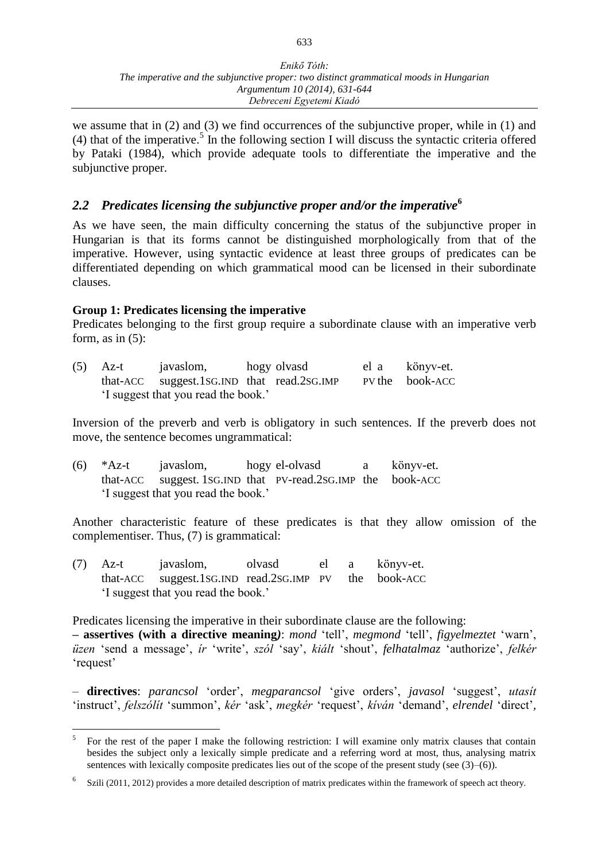we assume that in (2) and (3) we find occurrences of the subjunctive proper, while in (1) and (4) that of the imperative.<sup>5</sup> In the following section I will discuss the syntactic criteria offered by Pataki (1984), which provide adequate tools to differentiate the imperative and the subjunctive proper.

# *2.2 Predicates licensing the subjunctive proper and/or the imperative***<sup>6</sup>**

As we have seen, the main difficulty concerning the status of the subjunctive proper in Hungarian is that its forms cannot be distinguished morphologically from that of the imperative. However, using syntactic evidence at least three groups of predicates can be differentiated depending on which grammatical mood can be licensed in their subordinate clauses.

#### **Group 1: Predicates licensing the imperative**

Predicates belonging to the first group require a subordinate clause with an imperative verb form, as in  $(5)$ :

| $(5)$ Az-t | javaslom,                                  | hogy olvasd | el a könyv-et.  |
|------------|--------------------------------------------|-------------|-----------------|
|            | that-ACC suggest.1sG.IND that read.2sG.IMP |             | PV the book-ACC |
|            | I suggest that you read the book.'         |             |                 |

Inversion of the preverb and verb is obligatory in such sentences. If the preverb does not move, the sentence becomes ungrammatical:

| (6) | *Az-t javaslom,                                             | hogy el-olvasd | a könyv-et. |
|-----|-------------------------------------------------------------|----------------|-------------|
|     | that-ACC suggest. 1SG.IND that PV-read.2SG.IMP the book-ACC |                |             |
|     | 'I suggest that you read the book.'                         |                |             |

Another characteristic feature of these predicates is that they allow omission of the complementiser. Thus, (7) is grammatical:

(7) Az-t javaslom, olvasd el a könyv-et. that-ACC suggest.1SG.IND read.2SG.IMP PV the book-ACC 'I suggest that you read the book.'

Predicates licensing the imperative in their subordinate clause are the following:

**– assertives (with a directive meaning***)*: *mond* 'tell', *megmond* 'tell', *figyelmeztet* 'warn', *üzen* 'send a message', *ír* 'write', *szól* 'say', *kiált* 'shout', *felhatalmaz* 'authorize', *felkér*  'request'

– **directives**: *parancsol* 'order', *megparancsol* 'give orders', *javasol* 'suggest', *utasít*  'instruct', *felszólít* 'summon', *kér* 'ask', *megkér* 'request', *kíván* 'demand', *elrendel* 'direct'*,* 

 $\frac{1}{5}$ For the rest of the paper I make the following restriction: I will examine only matrix clauses that contain besides the subject only a lexically simple predicate and a referring word at most, thus, analysing matrix sentences with lexically composite predicates lies out of the scope of the present study (see  $(3)–(6)$ ).

<sup>6</sup> Szili (2011, 2012) provides a more detailed description of matrix predicates within the framework of speech act theory.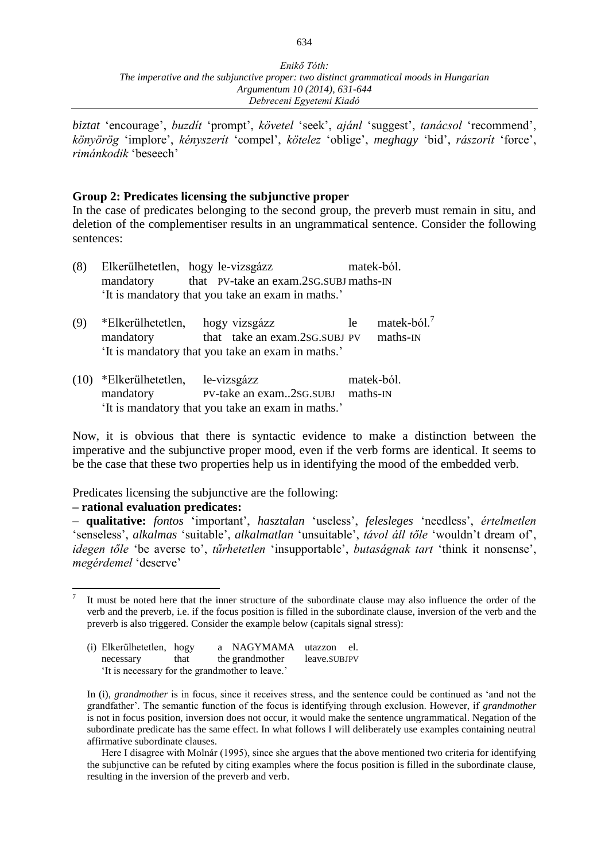*biztat* 'encourage', *buzdít* 'prompt', *követel* 'seek', *ajánl* 'suggest', *tanácsol* 'recommend', *könyörög* 'implore', *kényszerít* 'compel', *kötelez* 'oblige', *meghagy* 'bid', *rászorít* 'force', *rimánkodik* 'beseech'

#### **Group 2: Predicates licensing the subjunctive proper**

In the case of predicates belonging to the second group, the preverb must remain in situ, and deletion of the complementiser results in an ungrammatical sentence. Consider the following sentences:

| (8) |           | Elkerülhetetlen, hogy le-vizsgázz                 | matek-ból.                     |
|-----|-----------|---------------------------------------------------|--------------------------------|
|     | mandatory | that PV-take an exam.2sG.SUBJ maths-IN            |                                |
|     |           | 'It is mandatory that you take an exam in maths.' |                                |
| (9) |           | *Elkerülhetetlen, hogy vizsgázz                   | matek-ból. <sup>7</sup><br>le. |

- mandatory that take an exam.2SG.SUBJ PV maths-IN 'It is mandatory that you take an exam in maths.'
- (10) \*Elkerülhetetlen, le-vizsgázz matek-ból. mandatory PV-take an exam..2sG.SUBJ maths-IN 'It is mandatory that you take an exam in maths.'

Now, it is obvious that there is syntactic evidence to make a distinction between the imperative and the subjunctive proper mood, even if the verb forms are identical. It seems to be the case that these two properties help us in identifying the mood of the embedded verb.

Predicates licensing the subjunctive are the following:

#### **– rational evaluation predicates:**

– **qualitative:** *fontos* 'important', *hasztalan* 'useless', *felesleges* 'needless', *értelmetlen*  'senseless', *alkalmas* 'suitable', *alkalmatlan* 'unsuitable', *távol áll tőle* 'wouldn't dream of', *idegen tőle* 'be averse to', *tűrhetetlen* 'insupportable', *butaságnak tart* 'think it nonsense', *megérdemel* 'deserve'

Here I disagree with Molnár (1995), since she argues that the above mentioned two criteria for identifying the subjunctive can be refuted by citing examples where the focus position is filled in the subordinate clause, resulting in the inversion of the preverb and verb.

 $\overline{a}$ 7 It must be noted here that the inner structure of the subordinate clause may also influence the order of the verb and the preverb, i.e. if the focus position is filled in the subordinate clause, inversion of the verb and the preverb is also triggered. Consider the example below (capitals signal stress):

<sup>(</sup>i) Elkerülhetetlen, hogy a NAGYMAMA utazzon el. necessary that the grandmother leave.SUBJPV 'It is necessary for the grandmother to leave.'

In (i), *grandmother* is in focus, since it receives stress, and the sentence could be continued as 'and not the grandfather'. The semantic function of the focus is identifying through exclusion. However, if *grandmother*  is not in focus position, inversion does not occur, it would make the sentence ungrammatical. Negation of the subordinate predicate has the same effect. In what follows I will deliberately use examples containing neutral affirmative subordinate clauses.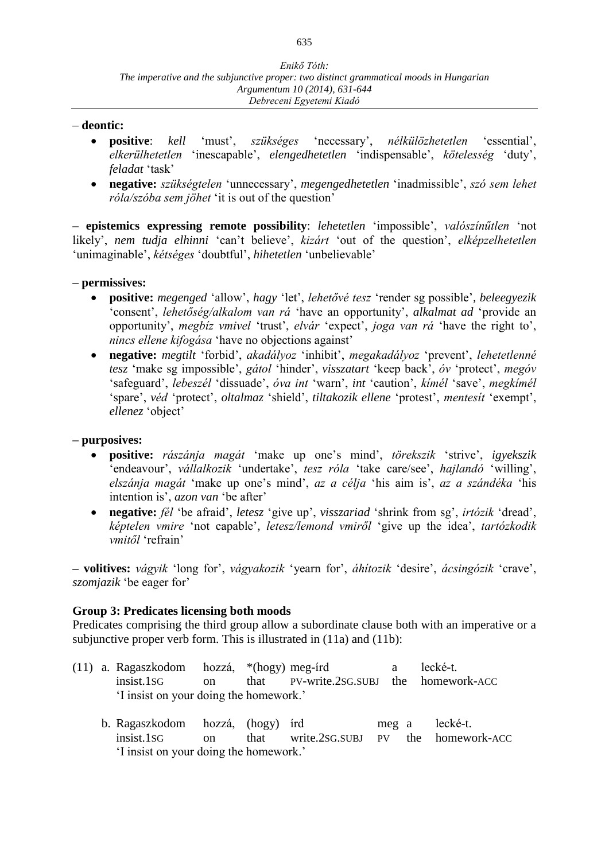#### – **deontic:**

- **positive**: *kell* 'must', *szükséges* 'necessary', *nélkülözhetetlen* 'essential', *elkerülhetetlen* 'inescapable', *elengedhetetlen* 'indispensable', *kötelesség* 'duty', *feladat* 'task'
- **negative:** *szükségtelen* 'unnecessary', *megengedhetetlen* 'inadmissible', *szó sem lehet róla/szóba sem jöhet* 'it is out of the question'

**– epistemics expressing remote possibility**: *lehetetlen* 'impossible', *valószínűtlen* 'not likely', *nem tudja elhinni* 'can't believe', *kizárt* 'out of the question', *elképzelhetetlen*  'unimaginable', *kétséges* 'doubtful', *hihetetlen* 'unbelievable'

#### **– permissives:**

- **positive:** *megenged* 'allow', *hagy* 'let', *lehetővé tesz* 'render sg possible'*, beleegyezik*  'consent', *lehetőség/alkalom van rá* 'have an opportunity', *alkalmat ad* 'provide an opportunity', *megbíz vmivel* 'trust', *elvár* 'expect', *joga van rá* 'have the right to', *nincs ellene kifogása* 'have no objections against'
- **negative:** *megtilt* 'forbid', *akadályoz* 'inhibit', *megakadályoz* 'prevent', *lehetetlenné tesz* 'make sg impossible', *gátol* 'hinder', *visszatart* 'keep back', *óv* 'protect', *megóv*  'safeguard', *lebeszél* 'dissuade', *óva int* 'warn', *int* 'caution', *kímél* 'save', *megkímél*  'spare', *véd* 'protect', *oltalmaz* 'shield', *tiltakozik ellene* 'protest', *mentesít* 'exempt', *ellenez* 'object'

#### **– purposives:**

- **positive:** *rászánja magát* 'make up one's mind', *törekszik* 'strive', *igyekszik*  'endeavour', *vállalkozik* 'undertake', *tesz róla* 'take care/see', *hajlandó* 'willing', *elszánja magát* 'make up one's mind', *az a célja* 'his aim is', *az a szándéka* 'his intention is', *azon van* 'be after'
- **negative:** *fél* 'be afraid', *letesz* 'give up', *visszariad* 'shrink from sg', *irtózik* 'dread', *képtelen vmire* 'not capable', *letesz/lemond vmiről* 'give up the idea', *tartózkodik vmitől* 'refrain'

**– volitives:** *vágyik* 'long for', *vágyakozik* 'yearn for', *áhítozik* 'desire', *ácsingózik* 'crave', *szomjazik* 'be eager for'

#### **Group 3: Predicates licensing both moods**

Predicates comprising the third group allow a subordinate clause both with an imperative or a subjunctive proper verb form. This is illustrated in  $(11a)$  and  $(11b)$ :

- (11) a. Ragaszkodom hozzá, \*(hogy) meg-írd a lecké-t. insist.1SG on that PV-write.2SG.SUBJ the homework-ACC 'I insist on your doing the homework.'
	- b. Ragaszkodom hozzá, (hogy) írd meg a lecké-t. insist.1SG on that write.2SG.SUBJ PV the homework-ACC 'I insist on your doing the homework.'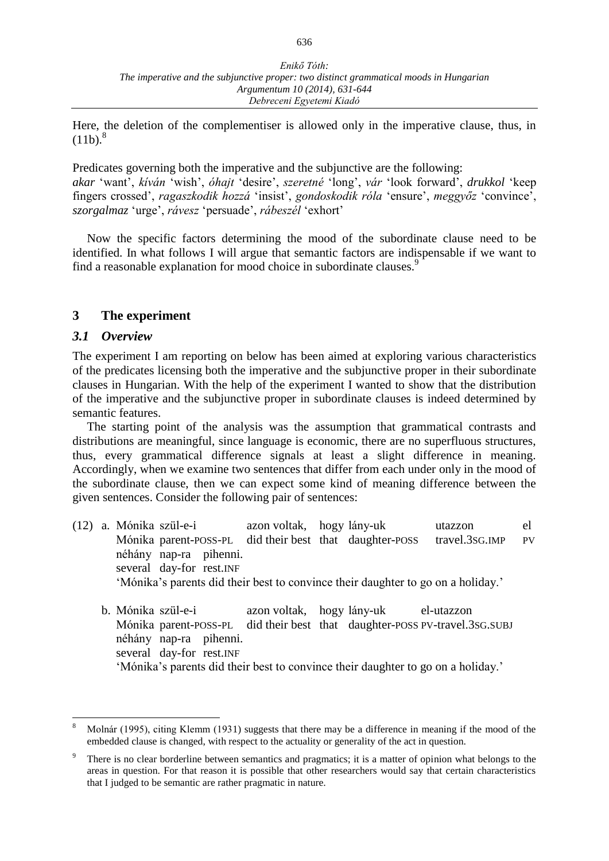Here, the deletion of the complementiser is allowed only in the imperative clause, thus, in  $(11b)^8$ 

Predicates governing both the imperative and the subjunctive are the following: *akar* 'want', *kíván* 'wish', *óhajt* 'desire', *szeretné* 'long', *vár* 'look forward', *drukkol* 'keep fingers crossed', *ragaszkodik hozzá* 'insist', *gondoskodik róla* 'ensure', *meggyőz* 'convince', *szorgalmaz* 'urge', *rávesz* 'persuade', *rábeszél* 'exhort'

Now the specific factors determining the mood of the subordinate clause need to be identified. In what follows I will argue that semantic factors are indispensable if we want to find a reasonable explanation for mood choice in subordinate clauses.<sup>9</sup>

#### **3 The experiment**

#### *3.1 Overview*

 $\overline{a}$ 

The experiment I am reporting on below has been aimed at exploring various characteristics of the predicates licensing both the imperative and the subjunctive proper in their subordinate clauses in Hungarian. With the help of the experiment I wanted to show that the distribution of the imperative and the subjunctive proper in subordinate clauses is indeed determined by semantic features.

The starting point of the analysis was the assumption that grammatical contrasts and distributions are meaningful, since language is economic, there are no superfluous structures, thus, every grammatical difference signals at least a slight difference in meaning. Accordingly, when we examine two sentences that differ from each under only in the mood of the subordinate clause, then we can expect some kind of meaning difference between the given sentences. Consider the following pair of sentences:

- (12) a. Mónika szül-e-i azon voltak, hogy lány-uk utazzon el Mónika parent-POSS-PL did their best that daughter-POSS travel.3sG.IMP PV néhány nap-ra pihenni. several day-for rest.INF 'Mónika's parents did their best to convince their daughter to go on a holiday.'
	- b. Mónika szül-e-i azon voltak, hogy lány-uk el-utazzon Mónika parent-POSS-PL did their best that daughter-POSS PV-travel.3SG.SUBJ néhány nap-ra pihenni. several day-for rest.INF 'Mónika's parents did their best to convince their daughter to go on a holiday.'

<sup>8</sup> Molnár (1995), citing Klemm (1931) suggests that there may be a difference in meaning if the mood of the embedded clause is changed, with respect to the actuality or generality of the act in question.

There is no clear borderline between semantics and pragmatics; it is a matter of opinion what belongs to the areas in question. For that reason it is possible that other researchers would say that certain characteristics that I judged to be semantic are rather pragmatic in nature.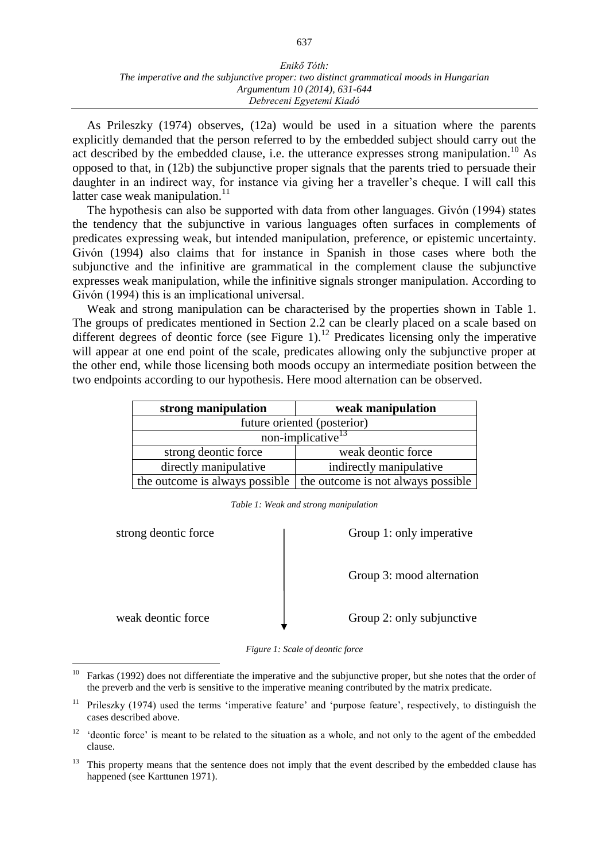#### *Enikő Tóth: The imperative and the subjunctive proper: two distinct grammatical moods in Hungarian Argumentum 10 (2014), 631-644 Debreceni Egyetemi Kiadó*

As Prileszky (1974) observes, (12a) would be used in a situation where the parents explicitly demanded that the person referred to by the embedded subject should carry out the act described by the embedded clause, i.e. the utterance expresses strong manipulation.<sup>10</sup> As opposed to that, in (12b) the subjunctive proper signals that the parents tried to persuade their daughter in an indirect way, for instance via giving her a traveller's cheque. I will call this latter case weak manipulation. $11$ 

The hypothesis can also be supported with data from other languages. Givón (1994) states the tendency that the subjunctive in various languages often surfaces in complements of predicates expressing weak, but intended manipulation, preference, or epistemic uncertainty. Givón (1994) also claims that for instance in Spanish in those cases where both the subjunctive and the infinitive are grammatical in the complement clause the subjunctive expresses weak manipulation, while the infinitive signals stronger manipulation. According to Givón (1994) this is an implicational universal.

Weak and strong manipulation can be characterised by the properties shown in Table 1. The groups of predicates mentioned in Section 2.2 can be clearly placed on a scale based on different degrees of deontic force (see Figure 1).<sup>12</sup> Predicates licensing only the imperative will appear at one end point of the scale, predicates allowing only the subjunctive proper at the other end, while those licensing both moods occupy an intermediate position between the two endpoints according to our hypothesis. Here mood alternation can be observed.

| strong manipulation            | weak manipulation                  |
|--------------------------------|------------------------------------|
|                                | future oriented (posterior)        |
|                                | non-implicative <sup>13</sup>      |
| strong deontic force           | weak deontic force                 |
| directly manipulative          | indirectly manipulative            |
| the outcome is always possible | the outcome is not always possible |

*Table 1: Weak and strong manipulation*

strong deontic force Strong 1: only imperative

Group 3: mood alternation

weak deontic force <br> Group 2: only subjunctive

*Figure 1: Scale of deontic force*

<sup>10</sup> <sup>10</sup> Farkas (1992) does not differentiate the imperative and the subjunctive proper, but she notes that the order of the preverb and the verb is sensitive to the imperative meaning contributed by the matrix predicate.

<sup>&</sup>lt;sup>11</sup> Prileszky (1974) used the terms 'imperative feature' and 'purpose feature', respectively, to distinguish the cases described above.

<sup>&</sup>lt;sup>12</sup> 'deontic force' is meant to be related to the situation as a whole, and not only to the agent of the embedded clause.

<sup>&</sup>lt;sup>13</sup> This property means that the sentence does not imply that the event described by the embedded clause has happened (see Karttunen 1971).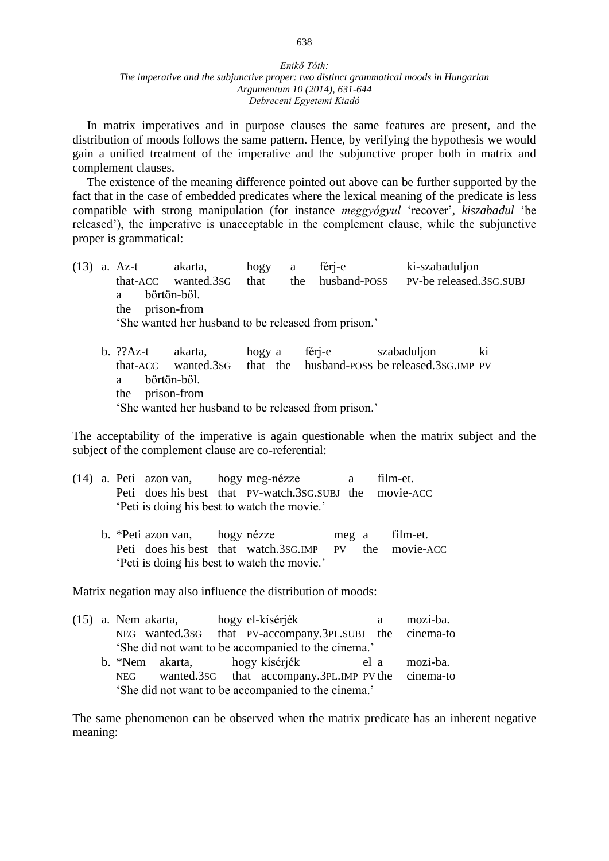In matrix imperatives and in purpose clauses the same features are present, and the distribution of moods follows the same pattern. Hence, by verifying the hypothesis we would gain a unified treatment of the imperative and the subjunctive proper both in matrix and complement clauses.

The existence of the meaning difference pointed out above can be further supported by the fact that in the case of embedded predicates where the lexical meaning of the predicate is less compatible with strong manipulation (for instance *meggyógyul* 'recover'*, kiszabadul* 'be released'), the imperative is unacceptable in the complement clause, while the subjunctive proper is grammatical:

- (13) a. Az-t akarta, hogy a férj-e ki-szabaduljon that-ACC wanted.3SG that the husband-POSS PV-be released.3SG.SUBJ a börtön-ből. the prison-from 'She wanted her husband to be released from prison.'
	- b. ??Az-t akarta, hogy a férj-e szabaduljon ki that-ACC wanted.3SG that the husband-POSS be released.3SG.IMP PV a börtön-ből. the prison-from 'She wanted her husband to be released from prison.'

The acceptability of the imperative is again questionable when the matrix subject and the subject of the complement clause are co-referential:

|  | (14) a. Peti azon van, hogy meg-nézze |                                                         | $\mathbf{a}$ | film-et. |
|--|---------------------------------------|---------------------------------------------------------|--------------|----------|
|  |                                       | Peti does his best that PV-watch.3sG.SUBJ the movie-ACC |              |          |
|  |                                       | 'Peti is doing his best to watch the movie.'            |              |          |

b. \*Peti azon van, hogy nézze meg a film-et. Peti does his best that watch.3SG.IMP PV the movie-ACC 'Peti is doing his best to watch the movie.'

Matrix negation may also influence the distribution of moods:

|  |     | $(15)$ a. Nem akarta, |  | hogy el-kísérjék                                        | a | mozi-ba. |
|--|-----|-----------------------|--|---------------------------------------------------------|---|----------|
|  |     |                       |  | NEG wanted.3sG that PV-accompany.3PL.SUBJ the cinema-to |   |          |
|  |     |                       |  | 'She did not want to be accompanied to the cinema.'     |   |          |
|  |     |                       |  | b. *Nem akarta, hogy kísérjék el a                      |   | mozi-ba. |
|  | NEG |                       |  | wanted.3sG that accompany.3PL.IMP PV the cinema-to      |   |          |
|  |     |                       |  | 'She did not want to be accompanied to the cinema.'     |   |          |

The same phenomenon can be observed when the matrix predicate has an inherent negative meaning: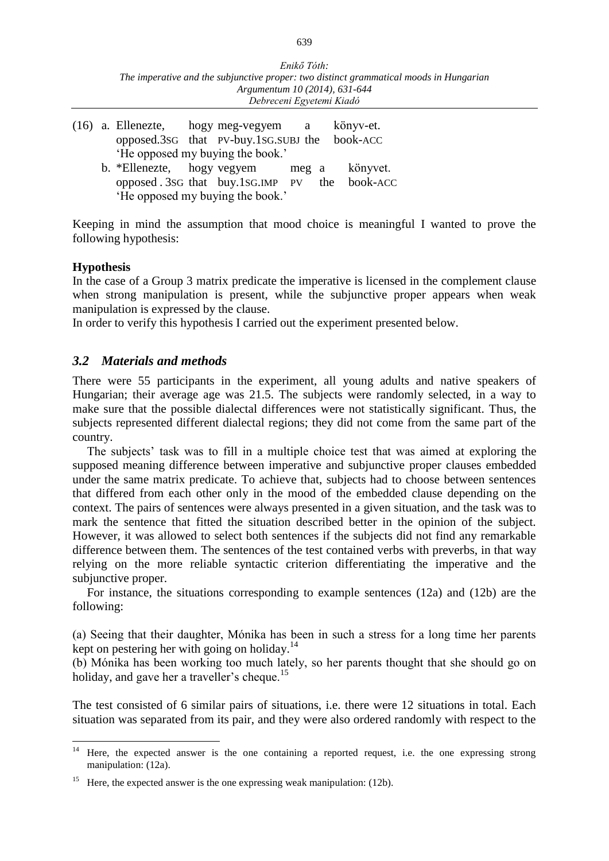| Enikő Tóth:                                                                            |
|----------------------------------------------------------------------------------------|
| The imperative and the subjunctive proper: two distinct grammatical moods in Hungarian |
| Argumentum 10 (2014), 631-644                                                          |
| Debreceni Egyetemi Kiadó                                                               |

|  |  | $(16)$ a. Ellenezte, hogy meg-vegyem a<br>opposed.3sG that PV-buy.1sG.SUBJ the book-ACC                                                                            |  | könyv-et. |  |
|--|--|--------------------------------------------------------------------------------------------------------------------------------------------------------------------|--|-----------|--|
|  |  | 'He opposed my buying the book.'<br>b. *Ellenezte, hogy vegyem meg a könyvet.<br>opposed. 3sG that buy.1sG.IMP PV the book-ACC<br>'He opposed my buying the book.' |  |           |  |

Keeping in mind the assumption that mood choice is meaningful I wanted to prove the following hypothesis:

#### **Hypothesis**

In the case of a Group 3 matrix predicate the imperative is licensed in the complement clause when strong manipulation is present, while the subjunctive proper appears when weak manipulation is expressed by the clause.

In order to verify this hypothesis I carried out the experiment presented below.

# *3.2 Materials and methods*

There were 55 participants in the experiment, all young adults and native speakers of Hungarian; their average age was 21.5. The subjects were randomly selected, in a way to make sure that the possible dialectal differences were not statistically significant. Thus, the subjects represented different dialectal regions; they did not come from the same part of the country.

The subjects' task was to fill in a multiple choice test that was aimed at exploring the supposed meaning difference between imperative and subjunctive proper clauses embedded under the same matrix predicate. To achieve that, subjects had to choose between sentences that differed from each other only in the mood of the embedded clause depending on the context. The pairs of sentences were always presented in a given situation, and the task was to mark the sentence that fitted the situation described better in the opinion of the subject. However, it was allowed to select both sentences if the subjects did not find any remarkable difference between them. The sentences of the test contained verbs with preverbs, in that way relying on the more reliable syntactic criterion differentiating the imperative and the subjunctive proper.

For instance, the situations corresponding to example sentences (12a) and (12b) are the following:

(a) Seeing that their daughter, Mónika has been in such a stress for a long time her parents kept on pestering her with going on holiday.<sup>14</sup>

(b) Mónika has been working too much lately, so her parents thought that she should go on holiday, and gave her a traveller's cheque.<sup>15</sup>

The test consisted of 6 similar pairs of situations, i.e. there were 12 situations in total. Each situation was separated from its pair, and they were also ordered randomly with respect to the

 $\overline{a}$ <sup>14</sup> Here, the expected answer is the one containing a reported request, i.e. the one expressing strong manipulation: (12a).

<sup>&</sup>lt;sup>15</sup> Here, the expected answer is the one expressing weak manipulation:  $(12b)$ .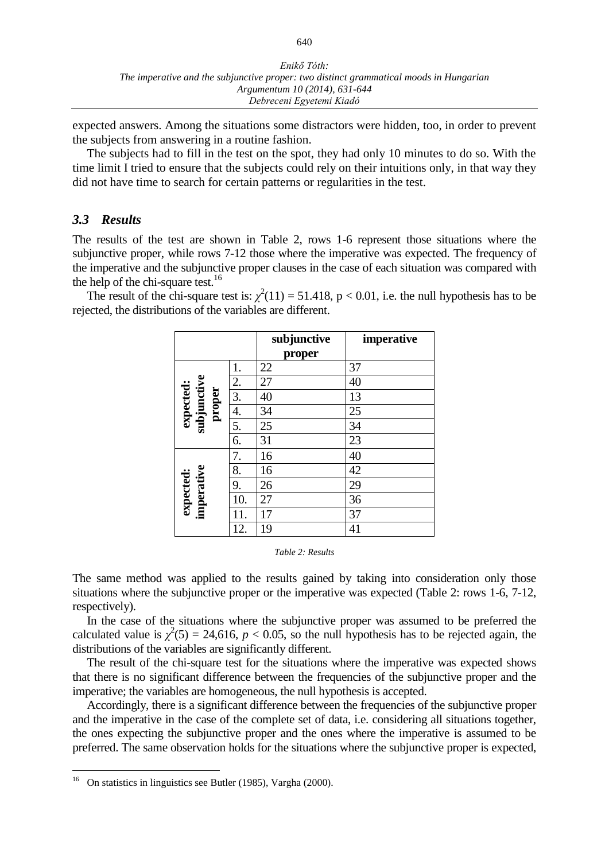expected answers. Among the situations some distractors were hidden, too, in order to prevent the subjects from answering in a routine fashion.

The subjects had to fill in the test on the spot, they had only 10 minutes to do so. With the time limit I tried to ensure that the subjects could rely on their intuitions only, in that way they did not have time to search for certain patterns or regularities in the test.

#### *3.3 Results*

The results of the test are shown in Table 2, rows 1-6 represent those situations where the subjunctive proper, while rows 7-12 those where the imperative was expected. The frequency of the imperative and the subjunctive proper clauses in the case of each situation was compared with the help of the chi-square test.<sup>16</sup>

The result of the chi-square test is:  $\chi^2(11) = 51.418$ , p < 0.01, i.e. the null hypothesis has to be rejected, the distributions of the variables are different.

|                                    |     | subjunctive<br>proper | imperative |
|------------------------------------|-----|-----------------------|------------|
|                                    | 1.  | 22                    | 37         |
| expected:<br>subjunctive<br>proper | 2.  | 27                    | 40         |
|                                    | 3.  | 40                    | 13         |
|                                    | 4.  | 34                    | 25         |
|                                    | 5.  | 25                    | 34         |
|                                    | 6.  | 31                    | 23         |
|                                    | 7.  | 16                    | 40         |
|                                    | 8.  | 16                    | 42         |
|                                    | 9.  | 26                    | 29         |
|                                    | 10. | 27                    | 36         |
| expected:<br>imperative            | 11. | 17                    | 37         |
|                                    | 12. | 19                    | 41         |

*Table 2: Results*

The same method was applied to the results gained by taking into consideration only those situations where the subjunctive proper or the imperative was expected (Table 2: rows 1-6, 7-12, respectively).

In the case of the situations where the subjunctive proper was assumed to be preferred the calculated value is  $\chi^2(5) = 24,616, p < 0.05$ , so the null hypothesis has to be rejected again, the distributions of the variables are significantly different.

The result of the chi-square test for the situations where the imperative was expected shows that there is no significant difference between the frequencies of the subjunctive proper and the imperative; the variables are homogeneous, the null hypothesis is accepted.

Accordingly, there is a significant difference between the frequencies of the subjunctive proper and the imperative in the case of the complete set of data, i.e. considering all situations together, the ones expecting the subjunctive proper and the ones where the imperative is assumed to be preferred. The same observation holds for the situations where the subjunctive proper is expected,

 $\overline{a}$ 

<sup>16</sup> On statistics in linguistics see Butler (1985), Vargha (2000).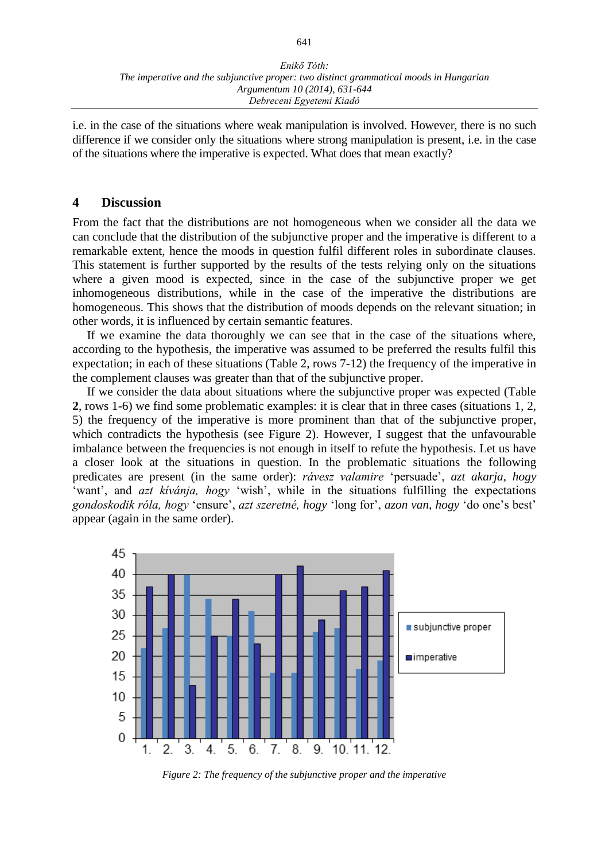i.e. in the case of the situations where weak manipulation is involved. However, there is no such difference if we consider only the situations where strong manipulation is present, i.e. in the case of the situations where the imperative is expected. What does that mean exactly?

#### **4 Discussion**

From the fact that the distributions are not homogeneous when we consider all the data we can conclude that the distribution of the subjunctive proper and the imperative is different to a remarkable extent, hence the moods in question fulfil different roles in subordinate clauses. This statement is further supported by the results of the tests relying only on the situations where a given mood is expected, since in the case of the subjunctive proper we get inhomogeneous distributions, while in the case of the imperative the distributions are homogeneous. This shows that the distribution of moods depends on the relevant situation; in other words, it is influenced by certain semantic features.

If we examine the data thoroughly we can see that in the case of the situations where, according to the hypothesis, the imperative was assumed to be preferred the results fulfil this expectation; in each of these situations (Table 2, rows 7-12) the frequency of the imperative in the complement clauses was greater than that of the subjunctive proper.

If we consider the data about situations where the subjunctive proper was expected (Table **2**, rows 1-6) we find some problematic examples: it is clear that in three cases (situations 1, 2, 5) the frequency of the imperative is more prominent than that of the subjunctive proper, which contradicts the hypothesis (see Figure 2). However, I suggest that the unfavourable imbalance between the frequencies is not enough in itself to refute the hypothesis. Let us have a closer look at the situations in question. In the problematic situations the following predicates are present (in the same order): *rávesz valamire* 'persuade', *azt akarja, hogy*  'want', and *azt kívánja, hogy* 'wish', while in the situations fulfilling the expectations *gondoskodik róla, hogy* 'ensure', *azt szeretné, hogy* 'long for', *azon van, hogy* 'do one's best' appear (again in the same order).



*Figure 2: The frequency of the subjunctive proper and the imperative*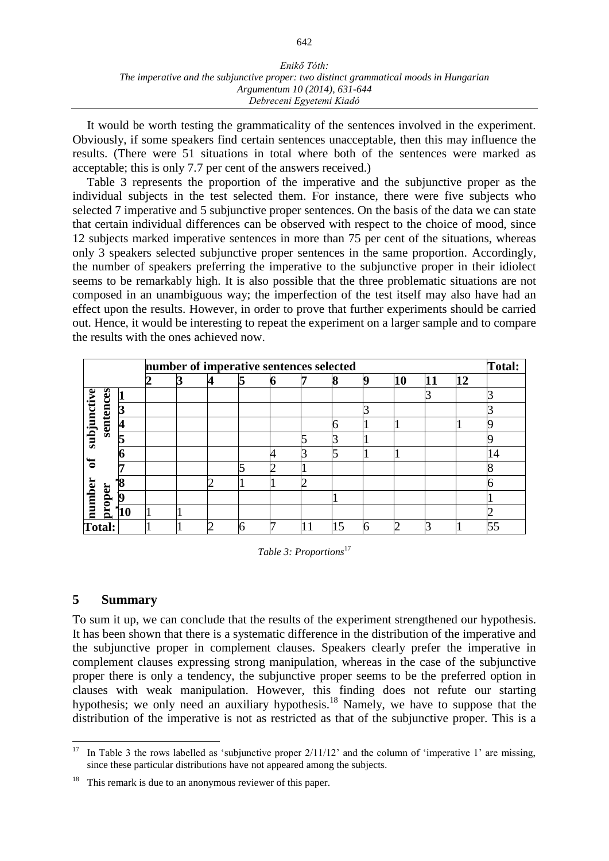#### *Enikő Tóth: The imperative and the subjunctive proper: two distinct grammatical moods in Hungarian Argumentum 10 (2014), 631-644 Debreceni Egyetemi Kiadó*

It would be worth testing the grammaticality of the sentences involved in the experiment. Obviously, if some speakers find certain sentences unacceptable, then this may influence the results. (There were 51 situations in total where both of the sentences were marked as acceptable; this is only 7.7 per cent of the answers received.)

Table 3 represents the proportion of the imperative and the subjunctive proper as the individual subjects in the test selected them. For instance, there were five subjects who selected 7 imperative and 5 subjunctive proper sentences. On the basis of the data we can state that certain individual differences can be observed with respect to the choice of mood, since 12 subjects marked imperative sentences in more than 75 per cent of the situations, whereas only 3 speakers selected subjunctive proper sentences in the same proportion. Accordingly, the number of speakers preferring the imperative to the subjunctive proper in their idiolect seems to be remarkably high. It is also possible that the three problematic situations are not composed in an unambiguous way; the imperfection of the test itself may also have had an effect upon the results. However, in order to prove that further experiments should be carried out. Hence, it would be interesting to repeat the experiment on a larger sample and to compare the results with the ones achieved now.

|                            |        |                         | number of imperative sentences selected |  |  |  |  |  |   |   |    |  |    | Total: |
|----------------------------|--------|-------------------------|-----------------------------------------|--|--|--|--|--|---|---|----|--|----|--------|
|                            |        |                         |                                         |  |  |  |  |  | 8 | q | 10 |  | 12 |        |
| subjunctive<br>sentences   |        |                         |                                         |  |  |  |  |  |   |   |    |  |    |        |
|                            |        | 3                       |                                         |  |  |  |  |  |   |   |    |  |    |        |
|                            |        | $\overline{\mathbf{4}}$ |                                         |  |  |  |  |  | 6 |   |    |  |    |        |
|                            |        |                         |                                         |  |  |  |  |  |   |   |    |  |    |        |
|                            |        |                         |                                         |  |  |  |  |  |   |   |    |  |    | 14     |
| ਠ                          |        |                         |                                         |  |  |  |  |  |   |   |    |  |    |        |
|                            |        |                         |                                         |  |  |  |  |  |   |   |    |  |    |        |
|                            |        | 19                      |                                         |  |  |  |  |  |   |   |    |  |    |        |
| $\overline{\text{number}}$ | proper | '10                     |                                         |  |  |  |  |  |   |   |    |  |    |        |
| Total:                     |        |                         |                                         |  |  |  |  |  |   |   |    |  |    | E E    |

*Table 3: Proportions*<sup>17</sup>

# **5 Summary**

To sum it up, we can conclude that the results of the experiment strengthened our hypothesis. It has been shown that there is a systematic difference in the distribution of the imperative and the subjunctive proper in complement clauses. Speakers clearly prefer the imperative in complement clauses expressing strong manipulation, whereas in the case of the subjunctive proper there is only a tendency, the subjunctive proper seems to be the preferred option in clauses with weak manipulation. However, this finding does not refute our starting hypothesis; we only need an auxiliary hypothesis.<sup>18</sup> Namely, we have to suppose that the distribution of the imperative is not as restricted as that of the subjunctive proper. This is a

 $\overline{a}$ <sup>17</sup> In Table 3 the rows labelled as 'subjunctive proper  $2/11/12$ ' and the column of 'imperative 1' are missing, since these particular distributions have not appeared among the subjects.

<sup>&</sup>lt;sup>18</sup> This remark is due to an anonymous reviewer of this paper.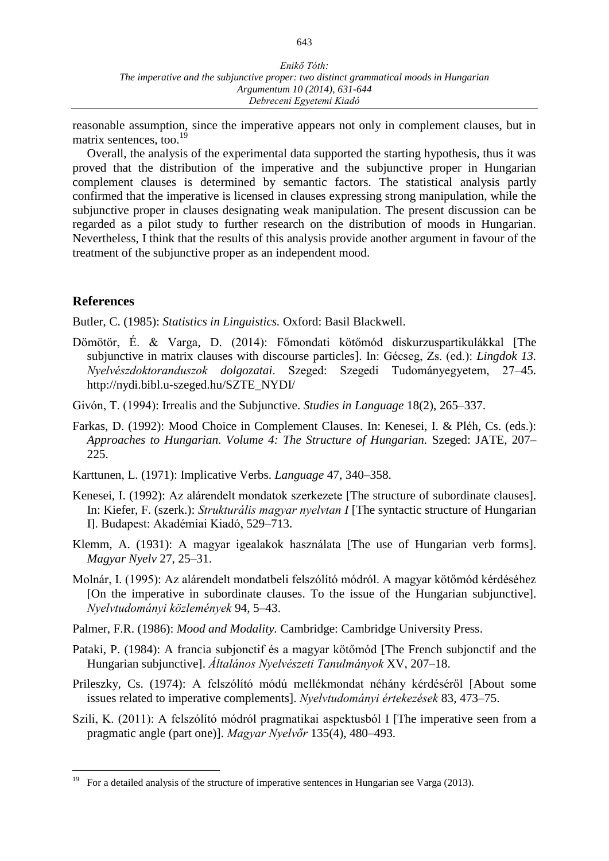reasonable assumption, since the imperative appears not only in complement clauses, but in matrix sentences, too.<sup>19</sup>

Overall, the analysis of the experimental data supported the starting hypothesis, thus it was proved that the distribution of the imperative and the subjunctive proper in Hungarian complement clauses is determined by semantic factors. The statistical analysis partly confirmed that the imperative is licensed in clauses expressing strong manipulation, while the subjunctive proper in clauses designating weak manipulation. The present discussion can be regarded as a pilot study to further research on the distribution of moods in Hungarian. Nevertheless, I think that the results of this analysis provide another argument in favour of the treatment of the subjunctive proper as an independent mood.

# **References**

 $\overline{a}$ 

Butler, C. (1985): *Statistics in Linguistics.* Oxford: Basil Blackwell.

- Dömötör, É. & Varga, D. (2014): Főmondati kötőmód diskurzuspartikulákkal [The subjunctive in matrix clauses with discourse particles]. In: Gécseg, Zs. (ed.): *Lingdok 13. Nyelvészdoktoranduszok dolgozatai*. Szeged: Szegedi Tudományegyetem, 27–45. http://nydi.bibl.u-szeged.hu/SZTE\_NYDI/
- Givón, T. (1994): Irrealis and the Subjunctive. *Studies in Language* 18(2), 265–337.
- Farkas, D. (1992): Mood Choice in Complement Clauses. In: Kenesei, I. & Pléh, Cs. (eds.): *Approaches to Hungarian. Volume 4: The Structure of Hungarian.* Szeged: JATE, 207– 225.
- Karttunen, L. (1971): Implicative Verbs. *Language* 47, 340–358.
- Kenesei, I. (1992): Az alárendelt mondatok szerkezete [The structure of subordinate clauses]. In: Kiefer, F. (szerk.): *Strukturális magyar nyelvtan I* [The syntactic structure of Hungarian I]. Budapest: Akadémiai Kiadó, 529–713.
- Klemm, A. (1931): A magyar igealakok használata [The use of Hungarian verb forms]. *Magyar Nyelv* 27, 25–31.
- Molnár, I. (1995): Az alárendelt mondatbeli felszólító módról. A magyar kötőmód kérdéséhez [On the imperative in subordinate clauses. To the issue of the Hungarian subjunctive]. *Nyelvtudományi közlemények* 94, 5–43.
- Palmer, F.R. (1986): *Mood and Modality.* Cambridge: Cambridge University Press.
- Pataki, P. (1984): A francia subjonctif és a magyar kötőmód [The French subjonctif and the Hungarian subjunctive]. *Általános Nyelvészeti Tanulmányok* XV, 207–18.
- Prileszky, Cs. (1974): A felszólító módú mellékmondat néhány kérdéséről [About some issues related to imperative complements]. *Nyelvtudományi értekezések* 83, 473–75.
- Szili, K. (2011): A felszólító módról pragmatikai aspektusból I [The imperative seen from a pragmatic angle (part one)]. *Magyar Nyelvőr* 135(4), 480–493.

<sup>19</sup> For a detailed analysis of the structure of imperative sentences in Hungarian see Varga (2013).